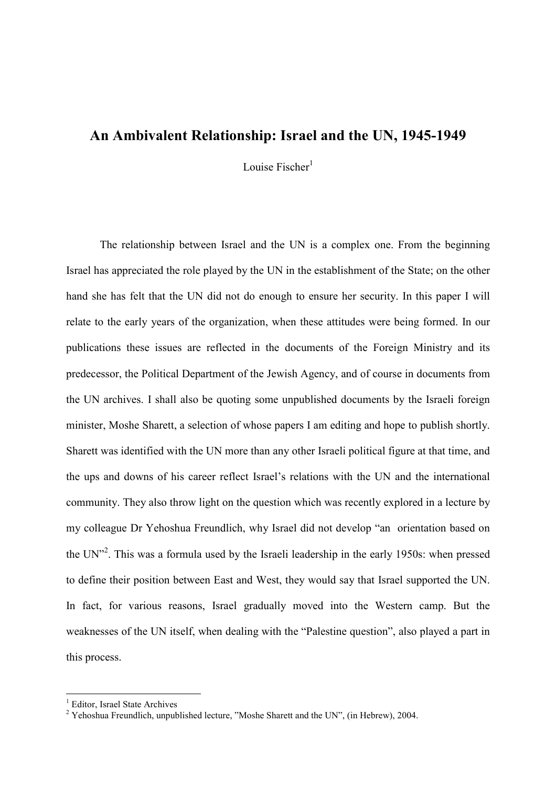## An Ambivalent Relationship: Israel and the UN, 1945-1949

Louise Fischer $<sup>1</sup>$ </sup>

The relationship between Israel and the UN is a complex one. From the beginning Israel has appreciated the role played by the UN in the establishment of the State; on the other hand she has felt that the UN did not do enough to ensure her security. In this paper I will relate to the early years of the organization, when these attitudes were being formed. In our publications these issues are reflected in the documents of the Foreign Ministry and its predecessor, the Political Department of the Jewish Agency, and of course in documents from the UN archives. I shall also be quoting some unpublished documents by the Israeli foreign minister, Moshe Sharett, a selection of whose papers I am editing and hope to publish shortly. Sharett was identified with the UN more than any other Israeli political figure at that time, and the ups and downs of his career reflect Israel's relations with the UN and the international community. They also throw light on the question which was recently explored in a lecture by my colleague Dr Yehoshua Freundlich, why Israel did not develop "an orientation based on the UN $12$ <sup>2</sup>. This was a formula used by the Israeli leadership in the early 1950s: when pressed to define their position between East and West, they would say that Israel supported the UN. In fact, for various reasons, Israel gradually moved into the Western camp. But the weaknesses of the UN itself, when dealing with the "Palestine question", also played a part in this process.

<sup>&</sup>lt;sup>1</sup> Editor, Israel State Archives

<sup>&</sup>lt;sup>2</sup> Yehoshua Freundlich, unpublished lecture, "Moshe Sharett and the UN", (in Hebrew), 2004.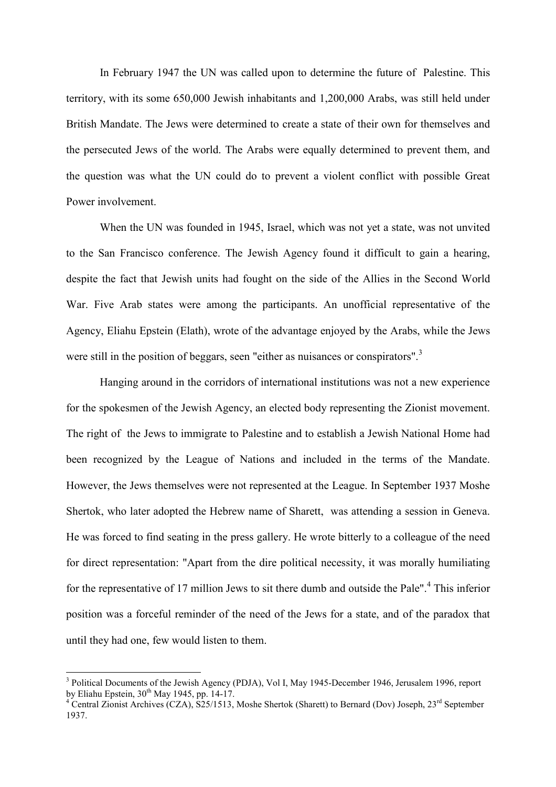In February 1947 the UN was called upon to determine the future of Palestine. This territory, with its some 650,000 Jewish inhabitants and 1,200,000 Arabs, was still held under British Mandate. The Jews were determined to create a state of their own for themselves and the persecuted Jews of the world. The Arabs were equally determined to prevent them, and the question was what the UN could do to prevent a violent conflict with possible Great Power involvement.

When the UN was founded in 1945, Israel, which was not yet a state, was not unvited to the San Francisco conference. The Jewish Agency found it difficult to gain a hearing, despite the fact that Jewish units had fought on the side of the Allies in the Second World War. Five Arab states were among the participants. An unofficial representative of the Agency, Eliahu Epstein (Elath), wrote of the advantage enjoyed by the Arabs, while the Jews were still in the position of beggars, seen "either as nuisances or conspirators".<sup>3</sup>

Hanging around in the corridors of international institutions was not a new experience for the spokesmen of the Jewish Agency, an elected body representing the Zionist movement. The right of the Jews to immigrate to Palestine and to establish a Jewish National Home had been recognized by the League of Nations and included in the terms of the Mandate. However, the Jews themselves were not represented at the League. In September 1937 Moshe Shertok, who later adopted the Hebrew name of Sharett, was attending a session in Geneva. He was forced to find seating in the press gallery. He wrote bitterly to a colleague of the need for direct representation: "Apart from the dire political necessity, it was morally humiliating for the representative of 17 million Jews to sit there dumb and outside the Pale".<sup>4</sup> This inferior position was a forceful reminder of the need of the Jews for a state, and of the paradox that until they had one, few would listen to them.

<sup>&</sup>lt;sup>3</sup> Political Documents of the Jewish Agency (PDJA), Vol I, May 1945-December 1946, Jerusalem 1996, report by Eliahu Epstein,  $30^{th}$  May 1945, pp. 14-17.

<sup>&</sup>lt;sup>4</sup> Central Zionist Archives (CZA), S25/1513, Moshe Shertok (Sharett) to Bernard (Dov) Joseph, 23<sup>rd</sup> September 1937.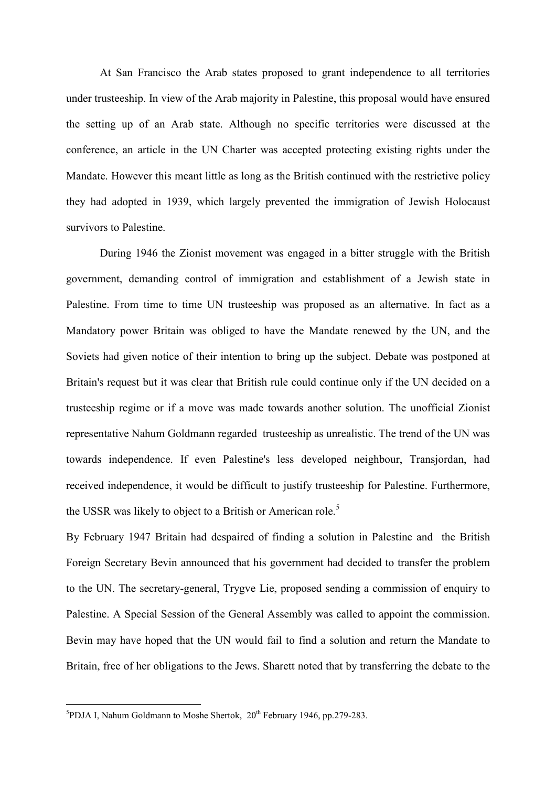At San Francisco the Arab states proposed to grant independence to all territories under trusteeship. In view of the Arab majority in Palestine, this proposal would have ensured the setting up of an Arab state. Although no specific territories were discussed at the conference, an article in the UN Charter was accepted protecting existing rights under the Mandate. However this meant little as long as the British continued with the restrictive policy they had adopted in 1939, which largely prevented the immigration of Jewish Holocaust survivors to Palestine.

During 1946 the Zionist movement was engaged in a bitter struggle with the British government, demanding control of immigration and establishment of a Jewish state in Palestine. From time to time UN trusteeship was proposed as an alternative. In fact as a Mandatory power Britain was obliged to have the Mandate renewed by the UN, and the Soviets had given notice of their intention to bring up the subject. Debate was postponed at Britain's request but it was clear that British rule could continue only if the UN decided on a trusteeship regime or if a move was made towards another solution. The unofficial Zionist representative Nahum Goldmann regarded trusteeship as unrealistic. The trend of the UN was towards independence. If even Palestine's less developed neighbour, Transjordan, had received independence, it would be difficult to justify trusteeship for Palestine. Furthermore, the USSR was likely to object to a British or American role.<sup>5</sup>

By February 1947 Britain had despaired of finding a solution in Palestine and the British Foreign Secretary Bevin announced that his government had decided to transfer the problem to the UN. The secretary-general, Trygve Lie, proposed sending a commission of enquiry to Palestine. A Special Session of the General Assembly was called to appoint the commission. Bevin may have hoped that the UN would fail to find a solution and return the Mandate to Britain, free of her obligations to the Jews. Sharett noted that by transferring the debate to the

<sup>&</sup>lt;sup>5</sup><br><sup>5</sup>PDJA I, Nahum Goldmann to Moshe Shertok, 20<sup>th</sup> February 1946, pp.279-283.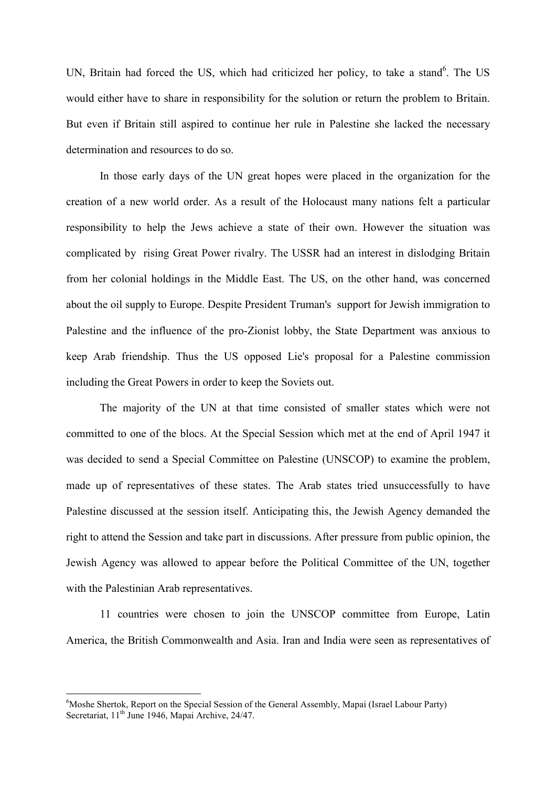UN, Britain had forced the US, which had criticized her policy, to take a stand<sup>6</sup>. The US would either have to share in responsibility for the solution or return the problem to Britain. But even if Britain still aspired to continue her rule in Palestine she lacked the necessary determination and resources to do so.

In those early days of the UN great hopes were placed in the organization for the creation of a new world order. As a result of the Holocaust many nations felt a particular responsibility to help the Jews achieve a state of their own. However the situation was complicated by rising Great Power rivalry. The USSR had an interest in dislodging Britain from her colonial holdings in the Middle East. The US, on the other hand, was concerned about the oil supply to Europe. Despite President Truman's support for Jewish immigration to Palestine and the influence of the pro-Zionist lobby, the State Department was anxious to keep Arab friendship. Thus the US opposed Lie's proposal for a Palestine commission including the Great Powers in order to keep the Soviets out.

The majority of the UN at that time consisted of smaller states which were not committed to one of the blocs. At the Special Session which met at the end of April 1947 it was decided to send a Special Committee on Palestine (UNSCOP) to examine the problem, made up of representatives of these states. The Arab states tried unsuccessfully to have Palestine discussed at the session itself. Anticipating this, the Jewish Agency demanded the right to attend the Session and take part in discussions. After pressure from public opinion, the Jewish Agency was allowed to appear before the Political Committee of the UN, together with the Palestinian Arab representatives.

11 countries were chosen to join the UNSCOP committee from Europe, Latin America, the British Commonwealth and Asia. Iran and India were seen as representatives of

<sup>&</sup>lt;sup>6</sup>Moshe Shertok, Report on the Special Session of the General Assembly, Mapai (Israel Labour Party) Secretariat, 11<sup>th</sup> June 1946, Mapai Archive, 24/47.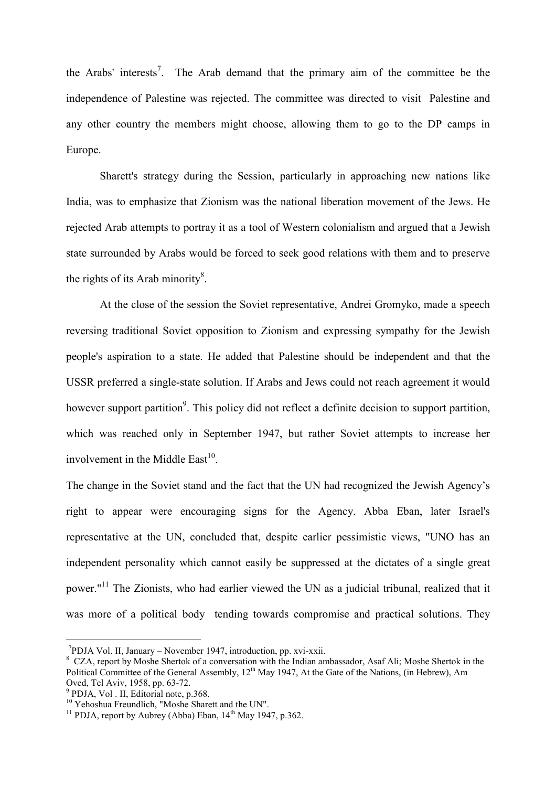the Arabs' interests<sup>7</sup>. The Arab demand that the primary aim of the committee be the independence of Palestine was rejected. The committee was directed to visit Palestine and any other country the members might choose, allowing them to go to the DP camps in Europe.

Sharett's strategy during the Session, particularly in approaching new nations like India, was to emphasize that Zionism was the national liberation movement of the Jews. He rejected Arab attempts to portray it as a tool of Western colonialism and argued that a Jewish state surrounded by Arabs would be forced to seek good relations with them and to preserve the rights of its Arab minority $\delta$ .

At the close of the session the Soviet representative, Andrei Gromyko, made a speech reversing traditional Soviet opposition to Zionism and expressing sympathy for the Jewish people's aspiration to a state. He added that Palestine should be independent and that the USSR preferred a single-state solution. If Arabs and Jews could not reach agreement it would however support partition<sup>9</sup>. This policy did not reflect a definite decision to support partition, which was reached only in September 1947, but rather Soviet attempts to increase her involvement in the Middle East $^{10}$ .

The change in the Soviet stand and the fact that the UN had recognized the Jewish Agency's right to appear were encouraging signs for the Agency. Abba Eban, later Israel's representative at the UN, concluded that, despite earlier pessimistic views, "UNO has an independent personality which cannot easily be suppressed at the dictates of a single great power."<sup>11</sup> The Zionists, who had earlier viewed the UN as a judicial tribunal, realized that it was more of a political body tending towards compromise and practical solutions. They

 $7$ PDJA Vol. II, January – November 1947, introduction, pp. xvi-xxii.

<sup>&</sup>lt;sup>8</sup> CZA, report by Moshe Shertok of a conversation with the Indian ambassador, Asaf Ali; Moshe Shertok in the Political Committee of the General Assembly, 12<sup>th</sup> May 1947, At the Gate of the Nations, (in Hebrew), Am Oved, Tel Aviv, 1958, pp. 63-72.

<sup>9</sup> PDJA, Vol . II, Editorial note, p.368.

<sup>&</sup>lt;sup>10</sup> Yehoshua Freundlich, "Moshe Sharett and the UN".

<sup>&</sup>lt;sup>11</sup> PDJA, report by Aubrey (Abba) Eban,  $14<sup>th</sup>$  May 1947, p.362.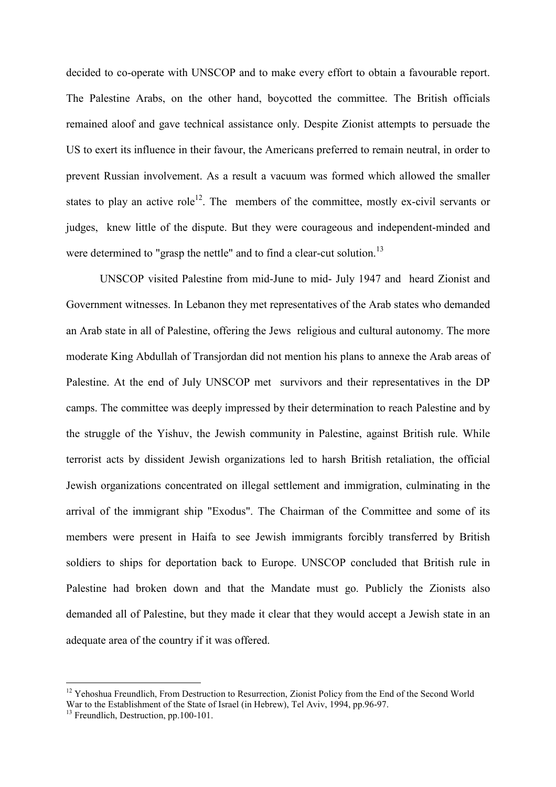decided to co-operate with UNSCOP and to make every effort to obtain a favourable report. The Palestine Arabs, on the other hand, boycotted the committee. The British officials remained aloof and gave technical assistance only. Despite Zionist attempts to persuade the US to exert its influence in their favour, the Americans preferred to remain neutral, in order to prevent Russian involvement. As a result a vacuum was formed which allowed the smaller states to play an active role<sup>12</sup>. The members of the committee, mostly ex-civil servants or judges, knew little of the dispute. But they were courageous and independent-minded and were determined to "grasp the nettle" and to find a clear-cut solution.<sup>13</sup>

UNSCOP visited Palestine from mid-June to mid- July 1947 and heard Zionist and Government witnesses. In Lebanon they met representatives of the Arab states who demanded an Arab state in all of Palestine, offering the Jews religious and cultural autonomy. The more moderate King Abdullah of Transjordan did not mention his plans to annexe the Arab areas of Palestine. At the end of July UNSCOP met survivors and their representatives in the DP camps. The committee was deeply impressed by their determination to reach Palestine and by the struggle of the Yishuv, the Jewish community in Palestine, against British rule. While terrorist acts by dissident Jewish organizations led to harsh British retaliation, the official Jewish organizations concentrated on illegal settlement and immigration, culminating in the arrival of the immigrant ship "Exodus". The Chairman of the Committee and some of its members were present in Haifa to see Jewish immigrants forcibly transferred by British soldiers to ships for deportation back to Europe. UNSCOP concluded that British rule in Palestine had broken down and that the Mandate must go. Publicly the Zionists also demanded all of Palestine, but they made it clear that they would accept a Jewish state in an adequate area of the country if it was offered.

<sup>&</sup>lt;sup>12</sup> Yehoshua Freundlich, From Destruction to Resurrection, Zionist Policy from the End of the Second World War to the Establishment of the State of Israel (in Hebrew), Tel Aviv, 1994, pp.96-97.

<sup>&</sup>lt;sup>13</sup> Freundlich, Destruction, pp.100-101.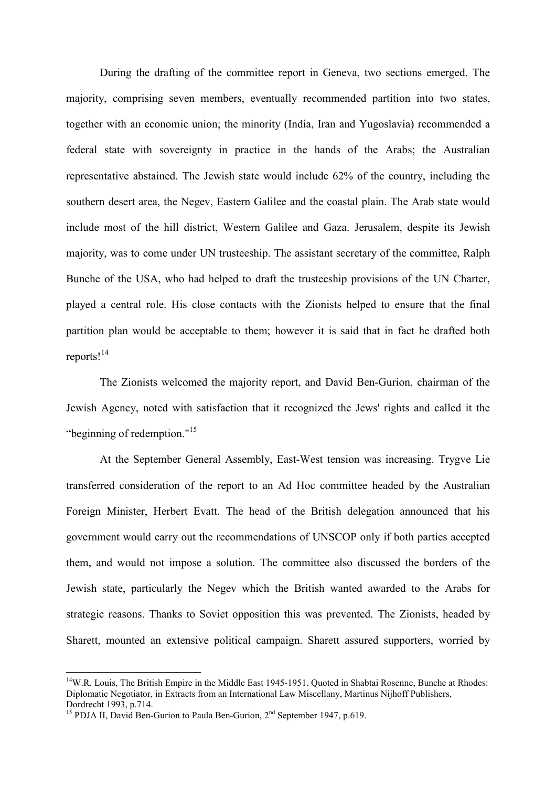During the drafting of the committee report in Geneva, two sections emerged. The majority, comprising seven members, eventually recommended partition into two states, together with an economic union; the minority (India, Iran and Yugoslavia) recommended a federal state with sovereignty in practice in the hands of the Arabs; the Australian representative abstained. The Jewish state would include 62% of the country, including the southern desert area, the Negev, Eastern Galilee and the coastal plain. The Arab state would include most of the hill district, Western Galilee and Gaza. Jerusalem, despite its Jewish majority, was to come under UN trusteeship. The assistant secretary of the committee, Ralph Bunche of the USA, who had helped to draft the trusteeship provisions of the UN Charter, played a central role. His close contacts with the Zionists helped to ensure that the final partition plan would be acceptable to them; however it is said that in fact he drafted both reports!<sup>14</sup>

The Zionists welcomed the majority report, and David Ben-Gurion, chairman of the Jewish Agency, noted with satisfaction that it recognized the Jews' rights and called it the "beginning of redemption."<sup>15</sup>

At the September General Assembly, East-West tension was increasing. Trygve Lie transferred consideration of the report to an Ad Hoc committee headed by the Australian Foreign Minister, Herbert Evatt. The head of the British delegation announced that his government would carry out the recommendations of UNSCOP only if both parties accepted them, and would not impose a solution. The committee also discussed the borders of the Jewish state, particularly the Negev which the British wanted awarded to the Arabs for strategic reasons. Thanks to Soviet opposition this was prevented. The Zionists, headed by Sharett, mounted an extensive political campaign. Sharett assured supporters, worried by

<sup>&</sup>lt;sup>14</sup>W.R. Louis, The British Empire in the Middle East 1945-1951. Quoted in Shabtai Rosenne, Bunche at Rhodes: Diplomatic Negotiator, in Extracts from an International Law Miscellany, Martinus Nijhoff Publishers, Dordrecht 1993, p.714.

<sup>&</sup>lt;sup>15</sup> PDJA II, David Ben-Gurion to Paula Ben-Gurion,  $2<sup>nd</sup>$  September 1947, p.619.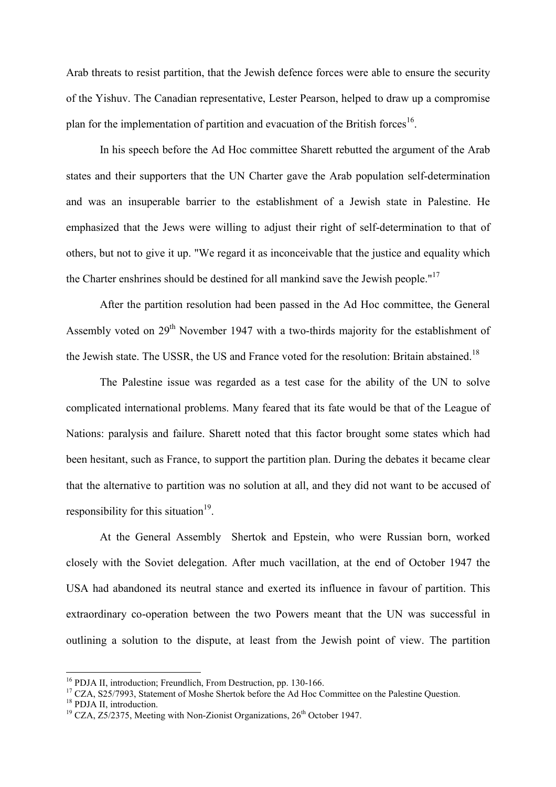Arab threats to resist partition, that the Jewish defence forces were able to ensure the security of the Yishuv. The Canadian representative, Lester Pearson, helped to draw up a compromise plan for the implementation of partition and evacuation of the British forces<sup>16</sup>.

In his speech before the Ad Hoc committee Sharett rebutted the argument of the Arab states and their supporters that the UN Charter gave the Arab population self-determination and was an insuperable barrier to the establishment of a Jewish state in Palestine. He emphasized that the Jews were willing to adjust their right of self-determination to that of others, but not to give it up. "We regard it as inconceivable that the justice and equality which the Charter enshrines should be destined for all mankind save the Jewish people."<sup>17</sup>

After the partition resolution had been passed in the Ad Hoc committee, the General Assembly voted on 29<sup>th</sup> November 1947 with a two-thirds majority for the establishment of the Jewish state. The USSR, the US and France voted for the resolution: Britain abstained.<sup>18</sup>

The Palestine issue was regarded as a test case for the ability of the UN to solve complicated international problems. Many feared that its fate would be that of the League of Nations: paralysis and failure. Sharett noted that this factor brought some states which had been hesitant, such as France, to support the partition plan. During the debates it became clear that the alternative to partition was no solution at all, and they did not want to be accused of responsibility for this situation<sup>19</sup>.

At the General Assembly Shertok and Epstein, who were Russian born, worked closely with the Soviet delegation. After much vacillation, at the end of October 1947 the USA had abandoned its neutral stance and exerted its influence in favour of partition. This extraordinary co-operation between the two Powers meant that the UN was successful in outlining a solution to the dispute, at least from the Jewish point of view. The partition

<sup>&</sup>lt;sup>16</sup> PDJA II, introduction; Freundlich, From Destruction, pp. 130-166.

<sup>&</sup>lt;sup>17</sup> CZA, S25/7993, Statement of Moshe Shertok before the Ad Hoc Committee on the Palestine Question.

<sup>&</sup>lt;sup>18</sup> PDJA II, introduction.

 $19$  CZA, Z5/2375, Meeting with Non-Zionist Organizations,  $26<sup>th</sup>$  October 1947.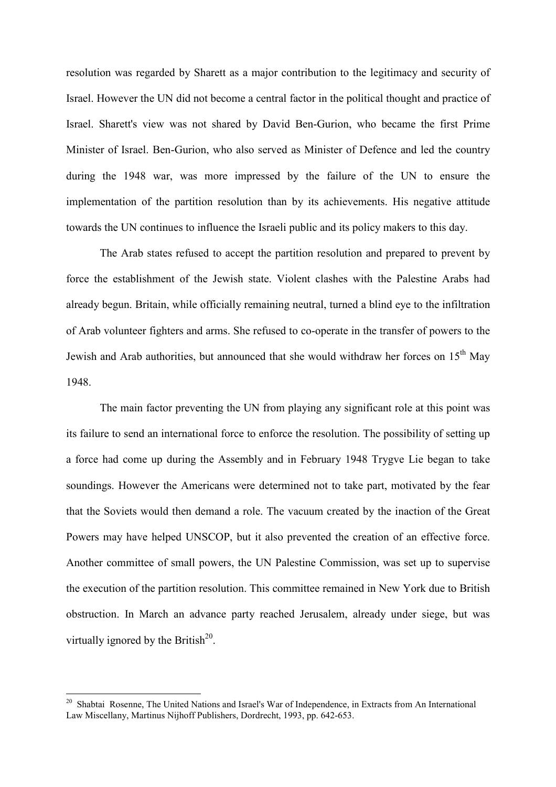resolution was regarded by Sharett as a major contribution to the legitimacy and security of Israel. However the UN did not become a central factor in the political thought and practice of Israel. Sharett's view was not shared by David Ben-Gurion, who became the first Prime Minister of Israel. Ben-Gurion, who also served as Minister of Defence and led the country during the 1948 war, was more impressed by the failure of the UN to ensure the implementation of the partition resolution than by its achievements. His negative attitude towards the UN continues to influence the Israeli public and its policy makers to this day.

The Arab states refused to accept the partition resolution and prepared to prevent by force the establishment of the Jewish state. Violent clashes with the Palestine Arabs had already begun. Britain, while officially remaining neutral, turned a blind eye to the infiltration of Arab volunteer fighters and arms. She refused to co-operate in the transfer of powers to the Jewish and Arab authorities, but announced that she would withdraw her forces on  $15<sup>th</sup>$  May 1948.

The main factor preventing the UN from playing any significant role at this point was its failure to send an international force to enforce the resolution. The possibility of setting up a force had come up during the Assembly and in February 1948 Trygve Lie began to take soundings. However the Americans were determined not to take part, motivated by the fear that the Soviets would then demand a role. The vacuum created by the inaction of the Great Powers may have helped UNSCOP, but it also prevented the creation of an effective force. Another committee of small powers, the UN Palestine Commission, was set up to supervise the execution of the partition resolution. This committee remained in New York due to British obstruction. In March an advance party reached Jerusalem, already under siege, but was virtually ignored by the British $^{20}$ .

<sup>&</sup>lt;sup>20</sup> Shabtai Rosenne, The United Nations and Israel's War of Independence, in Extracts from An International Law Miscellany, Martinus Nijhoff Publishers, Dordrecht, 1993, pp. 642-653.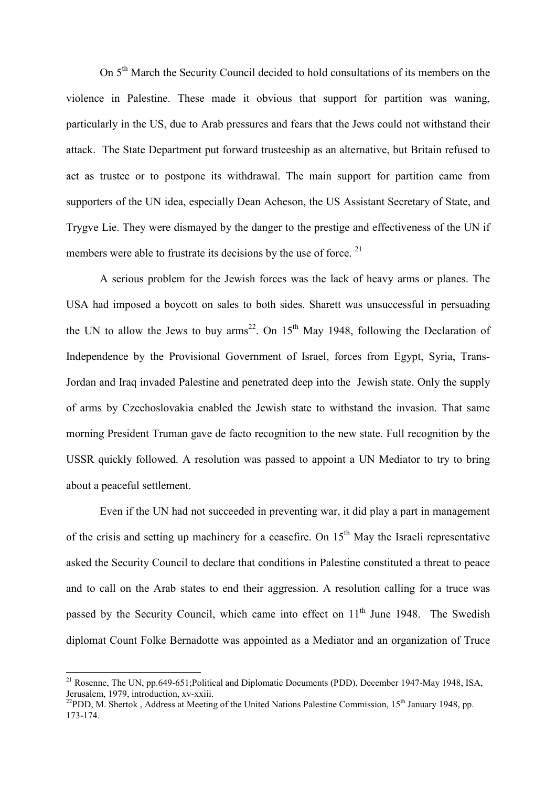On 5th March the Security Council decided to hold consultations of its members on the violence in Palestine. These made it obvious that support for partition was waning, particularly in the US, due to Arab pressures and fears that the Jews could not withstand their attack. The State Department put forward trusteeship as an alternative, but Britain refused to act as trustee or to postpone its withdrawal. The main support for partition came from supporters of the UN idea, especially Dean Acheson, the US Assistant Secretary of State, and Trygve Lie. They were dismayed by the danger to the prestige and effectiveness of the UN if members were able to frustrate its decisions by the use of force.  $21$ 

A serious problem for the Jewish forces was the lack of heavy arms or planes. The USA had imposed a boycott on sales to both sides. Sharett was unsuccessful in persuading the UN to allow the Jews to buy arms<sup>22</sup>. On  $15<sup>th</sup>$  May 1948, following the Declaration of Independence by the Provisional Government of Israel, forces from Egypt, Syria, Trans-Jordan and Iraq invaded Palestine and penetrated deep into the Jewish state. Only the supply of arms by Czechoslovakia enabled the Jewish state to withstand the invasion. That same morning President Truman gave de facto recognition to the new state. Full recognition by the USSR quickly followed. A resolution was passed to appoint a UN Mediator to try to bring about a peaceful settlement.

Even if the UN had not succeeded in preventing war, it did play a part in management of the crisis and setting up machinery for a ceasefire. On  $15<sup>th</sup>$  May the Israeli representative asked the Security Council to declare that conditions in Palestine constituted a threat to peace and to call on the Arab states to end their aggression. A resolution calling for a truce was passed by the Security Council, which came into effect on  $11<sup>th</sup>$  June 1948. The Swedish diplomat Count Folke Bernadotte was appointed as a Mediator and an organization of Truce

<sup>&</sup>lt;sup>21</sup> Rosenne, The UN, pp.649-651; Political and Diplomatic Documents (PDD), December 1947-May 1948, ISA, Jerusalem, 1979, introduction, xv-xxiii.

<sup>&</sup>lt;sup>22</sup>PDD, M. Shertok, Address at Meeting of the United Nations Palestine Commission, 15<sup>th</sup> January 1948, pp. 173-174.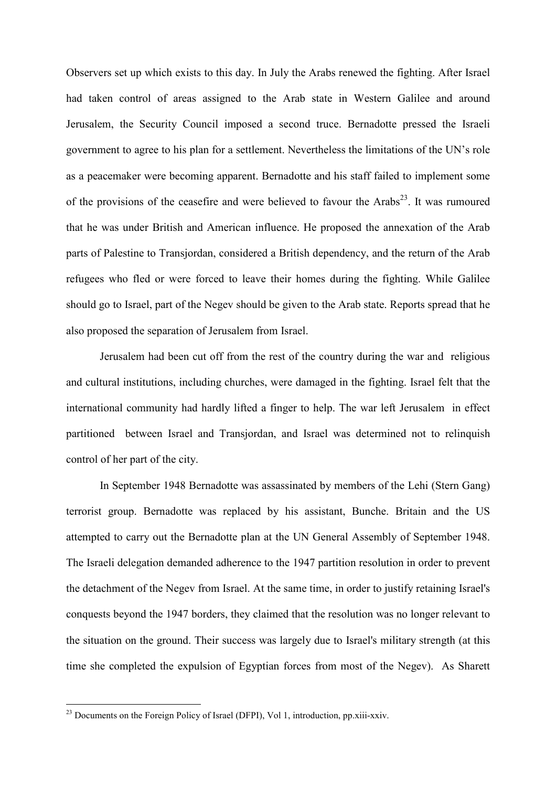Observers set up which exists to this day. In July the Arabs renewed the fighting. After Israel had taken control of areas assigned to the Arab state in Western Galilee and around Jerusalem, the Security Council imposed a second truce. Bernadotte pressed the Israeli government to agree to his plan for a settlement. Nevertheless the limitations of the UN's role as a peacemaker were becoming apparent. Bernadotte and his staff failed to implement some of the provisions of the ceasefire and were believed to favour the Arabs<sup>23</sup>. It was rumoured that he was under British and American influence. He proposed the annexation of the Arab parts of Palestine to Transjordan, considered a British dependency, and the return of the Arab refugees who fled or were forced to leave their homes during the fighting. While Galilee should go to Israel, part of the Negev should be given to the Arab state. Reports spread that he also proposed the separation of Jerusalem from Israel.

Jerusalem had been cut off from the rest of the country during the war and religious and cultural institutions, including churches, were damaged in the fighting. Israel felt that the international community had hardly lifted a finger to help. The war left Jerusalem in effect partitioned between Israel and Transjordan, and Israel was determined not to relinquish control of her part of the city.

In September 1948 Bernadotte was assassinated by members of the Lehi (Stern Gang) terrorist group. Bernadotte was replaced by his assistant, Bunche. Britain and the US attempted to carry out the Bernadotte plan at the UN General Assembly of September 1948. The Israeli delegation demanded adherence to the 1947 partition resolution in order to prevent the detachment of the Negev from Israel. At the same time, in order to justify retaining Israel's conquests beyond the 1947 borders, they claimed that the resolution was no longer relevant to the situation on the ground. Their success was largely due to Israel's military strength (at this time she completed the expulsion of Egyptian forces from most of the Negev). As Sharett

 $2<sup>23</sup>$  Documents on the Foreign Policy of Israel (DFPI), Vol 1, introduction, pp.xiii-xxiv.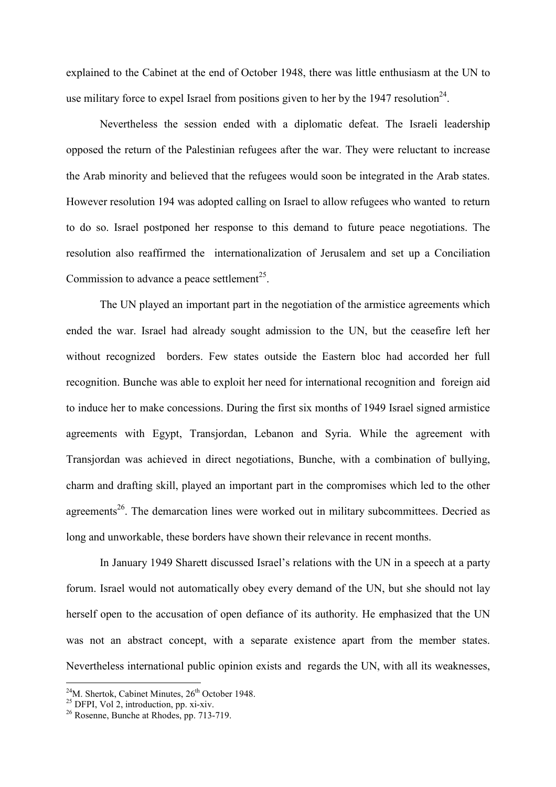explained to the Cabinet at the end of October 1948, there was little enthusiasm at the UN to use military force to expel Israel from positions given to her by the 1947 resolution<sup>24</sup>.

Nevertheless the session ended with a diplomatic defeat. The Israeli leadership opposed the return of the Palestinian refugees after the war. They were reluctant to increase the Arab minority and believed that the refugees would soon be integrated in the Arab states. However resolution 194 was adopted calling on Israel to allow refugees who wanted to return to do so. Israel postponed her response to this demand to future peace negotiations. The resolution also reaffirmed the internationalization of Jerusalem and set up a Conciliation Commission to advance a peace settlement<sup>25</sup>.

The UN played an important part in the negotiation of the armistice agreements which ended the war. Israel had already sought admission to the UN, but the ceasefire left her without recognized borders. Few states outside the Eastern bloc had accorded her full recognition. Bunche was able to exploit her need for international recognition and foreign aid to induce her to make concessions. During the first six months of 1949 Israel signed armistice agreements with Egypt, Transjordan, Lebanon and Syria. While the agreement with Transjordan was achieved in direct negotiations, Bunche, with a combination of bullying, charm and drafting skill, played an important part in the compromises which led to the other agreements<sup>26</sup>. The demarcation lines were worked out in military subcommittees. Decried as long and unworkable, these borders have shown their relevance in recent months.

In January 1949 Sharett discussed Israel's relations with the UN in a speech at a party forum. Israel would not automatically obey every demand of the UN, but she should not lay herself open to the accusation of open defiance of its authority. He emphasized that the UN was not an abstract concept, with a separate existence apart from the member states. Nevertheless international public opinion exists and regards the UN, with all its weaknesses,

 $^{24}$ M. Shertok, Cabinet Minutes,  $26<sup>th</sup>$  October 1948.

 $25$  DFPI, Vol 2, introduction, pp. xi-xiv.

<sup>26</sup> Rosenne, Bunche at Rhodes, pp. 713-719.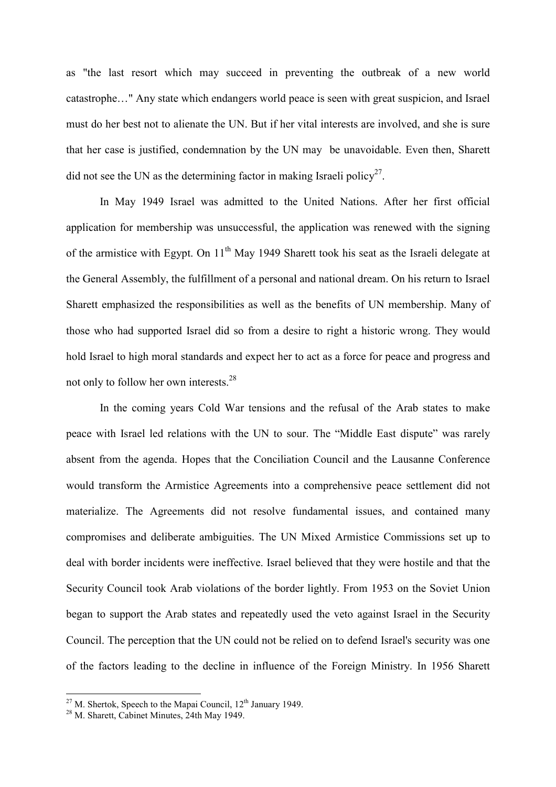as "the last resort which may succeed in preventing the outbreak of a new world catastrophe…" Any state which endangers world peace is seen with great suspicion, and Israel must do her best not to alienate the UN. But if her vital interests are involved, and she is sure that her case is justified, condemnation by the UN may be unavoidable. Even then, Sharett did not see the UN as the determining factor in making Israeli policy<sup>27</sup>.

In May 1949 Israel was admitted to the United Nations. After her first official application for membership was unsuccessful, the application was renewed with the signing of the armistice with Egypt. On  $11<sup>th</sup>$  May 1949 Sharett took his seat as the Israeli delegate at the General Assembly, the fulfillment of a personal and national dream. On his return to Israel Sharett emphasized the responsibilities as well as the benefits of UN membership. Many of those who had supported Israel did so from a desire to right a historic wrong. They would hold Israel to high moral standards and expect her to act as a force for peace and progress and not only to follow her own interests.<sup>28</sup>

In the coming years Cold War tensions and the refusal of the Arab states to make peace with Israel led relations with the UN to sour. The "Middle East dispute" was rarely absent from the agenda. Hopes that the Conciliation Council and the Lausanne Conference would transform the Armistice Agreements into a comprehensive peace settlement did not materialize. The Agreements did not resolve fundamental issues, and contained many compromises and deliberate ambiguities. The UN Mixed Armistice Commissions set up to deal with border incidents were ineffective. Israel believed that they were hostile and that the Security Council took Arab violations of the border lightly. From 1953 on the Soviet Union began to support the Arab states and repeatedly used the veto against Israel in the Security Council. The perception that the UN could not be relied on to defend Israel's security was one of the factors leading to the decline in influence of the Foreign Ministry. In 1956 Sharett

<sup>&</sup>lt;sup>27</sup> M. Shertok, Speech to the Mapai Council,  $12<sup>th</sup>$  January 1949.

<sup>&</sup>lt;sup>28</sup> M. Sharett, Cabinet Minutes, 24th May 1949.